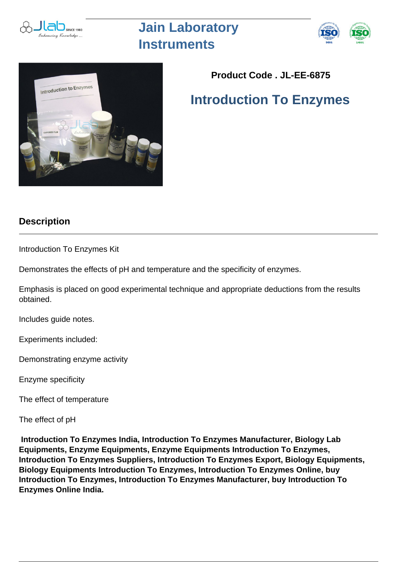

## **Jain Laboratory Instruments**





## **Product Code . JL-EE-6875**

## **Introduction To Enzymes**

## **Description**

Introduction To Enzymes Kit

Demonstrates the effects of pH and temperature and the specificity of enzymes.

Emphasis is placed on good experimental technique and appropriate deductions from the results obtained.

Includes guide notes.

Experiments included:

Demonstrating enzyme activity

Enzyme specificity

The effect of temperature

The effect of pH

 **Introduction To Enzymes India, Introduction To Enzymes Manufacturer, Biology Lab Equipments, Enzyme Equipments, Enzyme Equipments Introduction To Enzymes, Introduction To Enzymes Suppliers, Introduction To Enzymes Export, Biology Equipments, Biology Equipments Introduction To Enzymes, Introduction To Enzymes Online, buy Introduction To Enzymes, Introduction To Enzymes Manufacturer, buy Introduction To Enzymes Online India.**